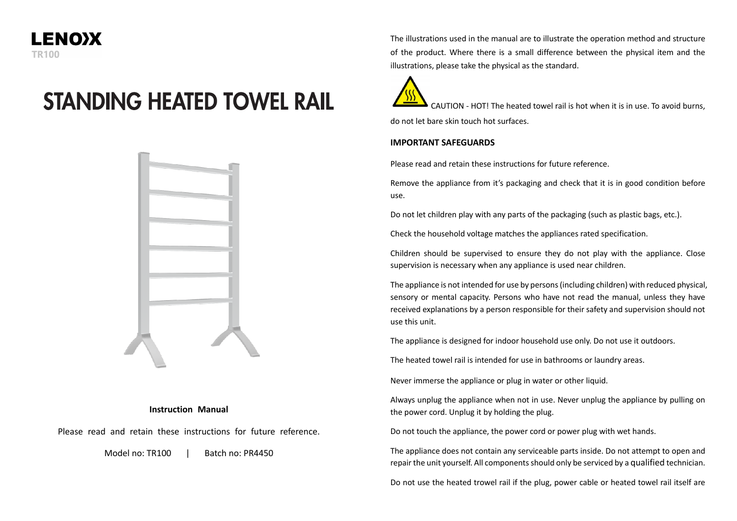

# **STANDING HEATED TOWEL RAIL**



#### **Instruction Manual**

Please read and retain these instructions for future reference.

Model no: TR100 | Batch no: PR4450

The illustrations used in the manual are to illustrate the operation method and structure of the product. Where there is a small difference between the physical item and the illustrations, please take the physical as the standard.

CAUTION - HOT! The heated towel rail is hot when it is in use. To avoid burns, do not let bare skin touch hot surfaces.

#### **IMPORTANT SAFEGUARDS**

Please read and retain these instructions for future reference.

Remove the appliance from it's packaging and check that it is in good condition before use.

Do not let children play with any parts of the packaging (such as plastic bags, etc.).

Check the household voltage matches the appliances rated specification.

Children should be supervised to ensure they do not play with the appliance. Close supervision is necessary when any appliance is used near children.

The appliance is not intended for use by persons (including children) with reduced physical, sensory or mental capacity. Persons who have not read the manual, unless they have received explanations by a person responsible for their safety and supervision should not use this unit.

The appliance is designed for indoor household use only. Do not use it outdoors.

The heated towel rail is intended for use in bathrooms or laundry areas.

Never immerse the appliance or plug in water or other liquid.

Always unplug the appliance when not in use. Never unplug the appliance by pulling on the power cord. Unplug it by holding the plug.

Do not touch the appliance, the power cord or power plug with wet hands.

The appliance does not contain any serviceable parts inside. Do not attempt to open and repair the unit yourself. All components should only be serviced by a qualified technician.

Do not use the heated trowel rail if the plug, power cable or heated towel rail itself are